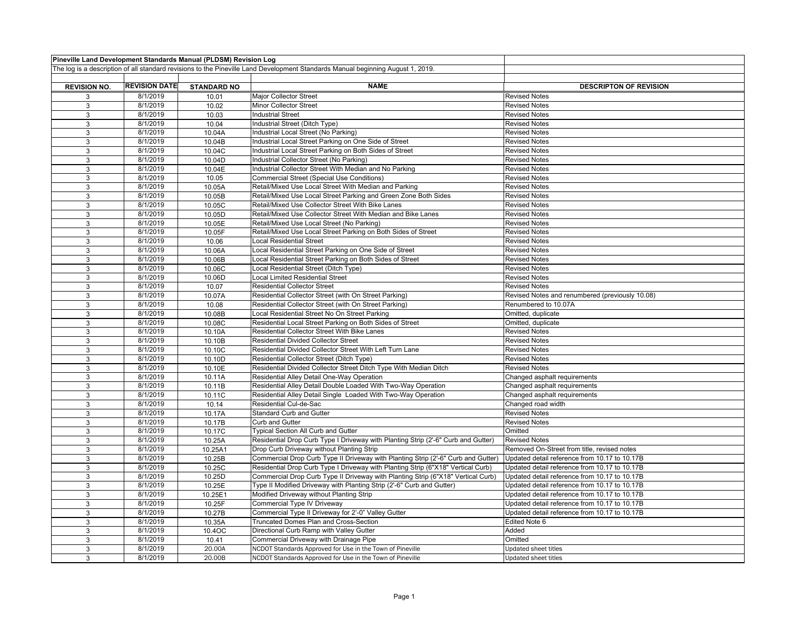| Pineville Land Development Standards Manual (PLDSM) Revision Log                                                                |                      |                    |                                                                                   |                                                 |
|---------------------------------------------------------------------------------------------------------------------------------|----------------------|--------------------|-----------------------------------------------------------------------------------|-------------------------------------------------|
| The log is a description of all standard revisions to the Pineville Land Development Standards Manual beginning August 1, 2019. |                      |                    |                                                                                   |                                                 |
|                                                                                                                                 |                      |                    |                                                                                   |                                                 |
| <b>REVISION NO.</b>                                                                                                             | <b>REVISION DATE</b> | <b>STANDARD NO</b> | <b>NAME</b>                                                                       | <b>DESCRIPTON OF REVISION</b>                   |
| 3                                                                                                                               | 8/1/2019             | 10.01              | Major Collector Street                                                            | <b>Revised Notes</b>                            |
| 3                                                                                                                               | 8/1/2019             | 10.02              | Minor Collector Street                                                            | <b>Revised Notes</b>                            |
| 3                                                                                                                               | 8/1/2019             | 10.03              | <b>Industrial Street</b>                                                          | <b>Revised Notes</b>                            |
| 3                                                                                                                               | 8/1/2019             | 10.04              | Industrial Street (Ditch Type)                                                    | <b>Revised Notes</b>                            |
| 3                                                                                                                               | 8/1/2019             | 10.04A             | Industrial Local Street (No Parking)                                              | <b>Revised Notes</b>                            |
| 3                                                                                                                               | 8/1/2019             | 10.04B             | Industrial Local Street Parking on One Side of Street                             | <b>Revised Notes</b>                            |
| 3                                                                                                                               | 8/1/2019             | 10.04C             | Industrial Local Street Parking on Both Sides of Street                           | <b>Revised Notes</b>                            |
| 3                                                                                                                               | 8/1/2019             | 10.04D             | Industrial Collector Street (No Parking)                                          | <b>Revised Notes</b>                            |
| 3                                                                                                                               | 8/1/2019             | 10.04E             | Industrial Collector Street With Median and No Parking                            | <b>Revised Notes</b>                            |
| 3                                                                                                                               | 8/1/2019             | 10.05              | Commercial Street (Special Use Conditions)                                        | <b>Revised Notes</b>                            |
| 3                                                                                                                               | 8/1/2019             | 10.05A             | Retail/Mixed Use Local Street With Median and Parking                             | <b>Revised Notes</b>                            |
| $\mathbf{3}$                                                                                                                    | 8/1/2019             | 10.05B             | Retail/Mixed Use Local Street Parking and Green Zone Both Sides                   | <b>Revised Notes</b>                            |
| 3                                                                                                                               | 8/1/2019             | 10.05C             | Retail/Mixed Use Collector Street With Bike Lanes                                 | <b>Revised Notes</b>                            |
| 3                                                                                                                               | 8/1/2019             | 10.05D             | Retail/Mixed Use Collector Street With Median and Bike Lanes                      | <b>Revised Notes</b>                            |
| $\mathbf{3}$                                                                                                                    | 8/1/2019             | 10.05E             | Retail/Mixed Use Local Street (No Parking)                                        | <b>Revised Notes</b>                            |
| 3                                                                                                                               | 8/1/2019             | 10.05F             | Retail/Mixed Use Local Street Parking on Both Sides of Street                     | <b>Revised Notes</b>                            |
| 3                                                                                                                               | 8/1/2019             | 10.06              | <b>Local Residential Street</b>                                                   | <b>Revised Notes</b>                            |
| 3                                                                                                                               | 8/1/2019             | 10.06A             | Local Residential Street Parking on One Side of Street                            | <b>Revised Notes</b>                            |
| 3                                                                                                                               | 8/1/2019             | 10.06B             | Local Residential Street Parking on Both Sides of Street                          | <b>Revised Notes</b>                            |
| 3                                                                                                                               | 8/1/2019             | 10.06C             | Local Residential Street (Ditch Type)                                             | <b>Revised Notes</b>                            |
| 3                                                                                                                               | 8/1/2019             | 10.06D             | <b>Local Limited Residential Street</b>                                           | <b>Revised Notes</b>                            |
| 3                                                                                                                               | 8/1/2019             | 10.07              | <b>Residential Collector Street</b>                                               | <b>Revised Notes</b>                            |
| 3                                                                                                                               | 8/1/2019             | 10.07A             | Residential Collector Street (with On Street Parking)                             | Revised Notes and renumbered (previously 10.08) |
| 3                                                                                                                               | 8/1/2019             | 10.08              | Residential Collector Street (with On Street Parking)                             | Renumbered to 10.07A                            |
| 3                                                                                                                               | 8/1/2019             | 10.08B             | Local Residential Street No On Street Parking                                     | Omitted, duplicate                              |
| 3                                                                                                                               | 8/1/2019             | 10.08C             | Residential Local Street Parking on Both Sides of Street                          | Omitted, duplicate                              |
| $\mathbf{3}$                                                                                                                    | 8/1/2019             | 10.10A             | Residential Collector Street With Bike Lanes                                      | <b>Revised Notes</b>                            |
| 3                                                                                                                               | 8/1/2019             | 10.10B             | Residential Divided Collector Street                                              | <b>Revised Notes</b>                            |
| 3                                                                                                                               | 8/1/2019             | 10.10C             | Residential Divided Collector Street With Left Turn Lane                          | <b>Revised Notes</b>                            |
| $\mathbf{3}$                                                                                                                    | 8/1/2019             | 10.10D             | Residential Collector Street (Ditch Type)                                         | <b>Revised Notes</b>                            |
| 3                                                                                                                               | 8/1/2019             | 10.10E             | Residential Divided Collector Street Ditch Type With Median Ditch                 | <b>Revised Notes</b>                            |
| 3                                                                                                                               | 8/1/2019             | 10.11A             | Residential Alley Detail One-Way Operation                                        | Changed asphalt requirements                    |
| 3                                                                                                                               | 8/1/2019             | 10.11B             | Residential Alley Detail Double Loaded With Two-Way Operation                     | Changed asphalt requirements                    |
| 3                                                                                                                               | 8/1/2019             | 10.11C             | Residential Alley Detail Single Loaded With Two-Way Operation                     | Changed asphalt requirements                    |
| $\overline{3}$                                                                                                                  | 8/1/2019             | 10.14              | Residential Cul-de-Sac                                                            | Changed road width                              |
| 3                                                                                                                               | 8/1/2019             | 10.17A             | <b>Standard Curb and Gutter</b>                                                   | <b>Revised Notes</b>                            |
| 3                                                                                                                               | 8/1/2019             | 10.17B             | Curb and Gutter                                                                   | <b>Revised Notes</b>                            |
| 3                                                                                                                               | 8/1/2019             | 10.17C             | <b>Typical Section All Curb and Gutter</b>                                        | Omitted                                         |
| 3                                                                                                                               | 8/1/2019             | 10.25A             | Residential Drop Curb Type I Driveway with Planting Strip (2'-6" Curb and Gutter) | <b>Revised Notes</b>                            |
| $\mathbf{3}$                                                                                                                    | 8/1/2019             | 10.25A1            | Drop Curb Driveway without Planting Strip                                         | Removed On-Street from title, revised notes     |
| 3                                                                                                                               | 8/1/2019             | 10.25B             | Commercial Drop Curb Type II Driveway with Planting Strip (2'-6" Curb and Gutter) | Updated detail reference from 10.17 to 10.17B   |
| 3                                                                                                                               | 8/1/2019             | 10.25C             | Residential Drop Curb Type I Driveway with Planting Strip (6"X18" Vertical Curb)  | Updated detail reference from 10.17 to 10.17B   |
| 3                                                                                                                               | 8/1/2019             | 10.25D             | Commercial Drop Curb Type II Driveway with Planting Strip (6"X18" Vertical Curb)  | Updated detail reference from 10.17 to 10.17B   |
| 3                                                                                                                               | 8/1/2019             | 10.25E             | Type II Modified Driveway with Planting Strip (2'-6" Curb and Gutter)             | Updated detail reference from 10.17 to 10.17B   |
| 3                                                                                                                               | 8/1/2019             | 10.25E1            | Modified Driveway without Planting Strip                                          | Updated detail reference from 10.17 to 10.17B   |
| 3                                                                                                                               | 8/1/2019             | 10.25F             | Commercial Type IV Driveway                                                       | Updated detail reference from 10.17 to 10.17B   |
| 3                                                                                                                               | 8/1/2019             | 10.27B             | Commercial Type II Driveway for 2'-0" Valley Gutter                               | Updated detail reference from 10.17 to 10.17B   |
| 3                                                                                                                               | 8/1/2019             | 10.35A             | Truncated Domes Plan and Cross-Section                                            | Edited Note 6                                   |
| 3                                                                                                                               | 8/1/2019             | 10.4OC             | Directional Curb Ramp with Valley Gutter                                          | Added                                           |
| 3                                                                                                                               | 8/1/2019             | 10.41              | Commercial Driveway with Drainage Pipe                                            | Omitted                                         |
| 3                                                                                                                               | 8/1/2019             | 20.00A             | NCDOT Standards Approved for Use in the Town of Pineville                         | Updated sheet titles                            |
| 3                                                                                                                               | 8/1/2019             | 20.00B             | NCDOT Standards Approved for Use in the Town of Pineville                         | Updated sheet titles                            |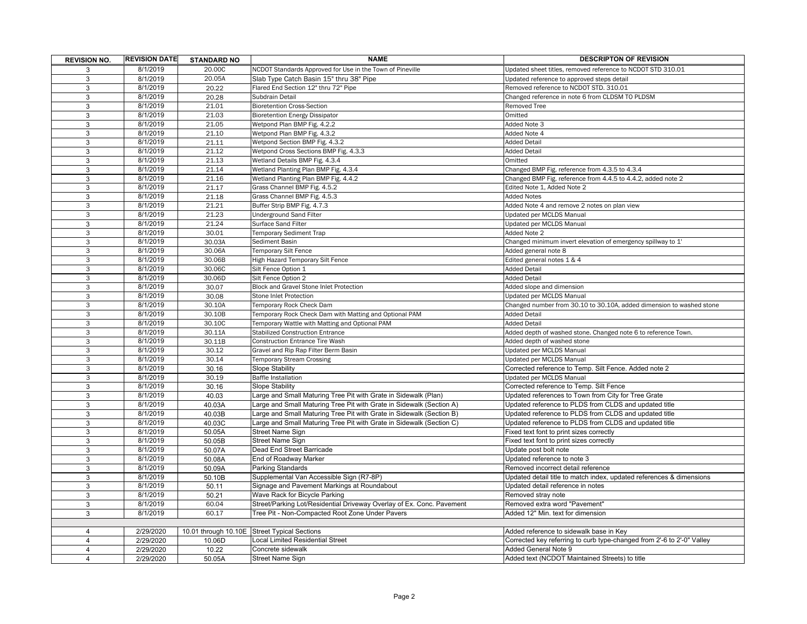| <b>REVISION NO.</b> | <b>REVISION DATE</b> | <b>STANDARD NO</b> | <b>NAME</b>                                                           | <b>DESCRIPTON OF REVISION</b>                                          |
|---------------------|----------------------|--------------------|-----------------------------------------------------------------------|------------------------------------------------------------------------|
| 3                   | 8/1/2019             | 20.00C             | NCDOT Standards Approved for Use in the Town of Pineville             | Updated sheet titles, removed reference to NCDOT STD 310.01            |
| 3                   | 8/1/2019             | 20.05A             | Slab Type Catch Basin 15" thru 38" Pipe                               | Updated reference to approved steps detail                             |
| 3                   | 8/1/2019             | 20.22              | Flared End Section 12" thru 72" Pipe                                  | Removed reference to NCDOT STD. 310.01                                 |
| 3                   | 8/1/2019             | 20.28              | Subdrain Detail                                                       | Changed reference in note 6 from CLDSM TO PLDSM                        |
| 3                   | 8/1/2019             | 21.01              | <b>Bioretention Cross-Section</b>                                     | Removed Tree                                                           |
| 3                   | 8/1/2019             | 21.03              | <b>Bioretention Energy Dissipator</b>                                 | Omitted                                                                |
| 3                   | 8/1/2019             | 21.05              | Wetpond Plan BMP Fig. 4.2.2                                           | Added Note 3                                                           |
| 3                   | 8/1/2019             | 21.10              | Wetpond Plan BMP Fig. 4.3.2                                           | Added Note 4                                                           |
| 3                   | 8/1/2019             | 21.11              | Wetpond Section BMP Fig. 4.3.2                                        | <b>Added Detail</b>                                                    |
| 3                   | 8/1/2019             | 21.12              | Wetpond Cross Sections BMP Fig. 4.3.3                                 | <b>Added Detail</b>                                                    |
| 3                   | 8/1/2019             | 21.13              | Wetland Details BMP Fig. 4.3.4                                        | Omitted                                                                |
| 3                   | 8/1/2019             | 21.14              | Wetland Planting Plan BMP Fig. 4.3.4                                  | Changed BMP Fig. reference from 4.3.5 to 4.3.4                         |
| 3                   | 8/1/2019             | 21.16              | Wetland Planting Plan BMP Fig. 4.4.2                                  | Changed BMP Fig. reference from 4.4.5 to 4.4.2, added note 2           |
| $\overline{3}$      | 8/1/2019             | 21.17              | Grass Channel BMP Fig. 4.5.2                                          | Edited Note 1, Added Note 2                                            |
| 3                   | 8/1/2019             | 21.18              | Grass Channel BMP Fig. 4.5.3                                          | <b>Added Notes</b>                                                     |
| 3                   | 8/1/2019             | 21.21              | Buffer Strip BMP Fig. 4.7.3                                           | Added Note 4 and remove 2 notes on plan view                           |
| $\overline{3}$      | 8/1/2019             | 21.23              | <b>Underground Sand Filter</b>                                        | Updated per MCLDS Manual                                               |
| $\overline{3}$      | 8/1/2019             | 21.24              | Surface Sand Filter                                                   | Updated per MCLDS Manual                                               |
| 3                   | 8/1/2019             | 30.01              | <b>Temporary Sediment Trap</b>                                        | Added Note 2                                                           |
| 3                   | 8/1/2019             | 30.03A             | Sediment Basin                                                        | Changed minimum invert elevation of emergency spillway to 1'           |
| $\overline{3}$      | 8/1/2019             | 30.06A             | <b>Temporary Silt Fence</b>                                           | Added general note 8                                                   |
| 3                   | 8/1/2019             | 30.06B             | High Hazard Temporary Silt Fence                                      | Edited general notes 1 & 4                                             |
| 3                   | 8/1/2019             | 30.06C             | Silt Fence Option 1                                                   | <b>Added Detail</b>                                                    |
| $\overline{3}$      | 8/1/2019             | 30.06D             | Silt Fence Option 2                                                   | <b>Added Detail</b>                                                    |
| 3                   | 8/1/2019             | 30.07              | Block and Gravel Stone Inlet Protection                               | Added slope and dimension                                              |
| 3                   | 8/1/2019             | 30.08              | Stone Inlet Protection                                                | Updated per MCLDS Manual                                               |
| $\overline{3}$      | 8/1/2019             | 30.10A             | Temporary Rock Check Dam                                              | Changed number from 30.10 to 30.10A, added dimension to washed stone   |
| 3                   | 8/1/2019             | 30.10B             | Temporary Rock Check Dam with Matting and Optional PAM                | <b>Added Detail</b>                                                    |
| 3                   | 8/1/2019             | 30.10C             | Temporary Wattle with Matting and Optional PAM                        | <b>Added Detail</b>                                                    |
| $\overline{3}$      | 8/1/2019             | 30.11A             | <b>Stabilized Construction Entrance</b>                               | Added depth of washed stone. Changed note 6 to reference Town.         |
| 3                   | 8/1/2019             | 30.11B             | Construction Entrance Tire Wash                                       | Added depth of washed stone                                            |
| 3                   | 8/1/2019             | 30.12              | Gravel and Rip Rap Filter Berm Basin                                  | Updated per MCLDS Manual                                               |
| $\overline{3}$      | 8/1/2019             | 30.14              | Temporary Stream Crossing                                             | Updated per MCLDS Manual                                               |
| 3                   | 8/1/2019             | 30.16              | <b>Slope Stability</b>                                                | Corrected reference to Temp. Silt Fence. Added note 2                  |
| 3                   | 8/1/2019             | 30.19              | <b>Baffle Installation</b>                                            | Updated per MCLDS Manual                                               |
| $\overline{3}$      | 8/1/2019             | 30.16              | <b>Slope Stability</b>                                                | Corrected reference to Temp. Silt Fence                                |
| 3                   | 8/1/2019             | 40.03              | Large and Small Maturing Tree Pit with Grate in Sidewalk (Plan)       | Updated references to Town from City for Tree Grate                    |
| 3                   | 8/1/2019             | 40.03A             | Large and Small Maturing Tree Pit with Grate in Sidewalk (Section A)  | Updated reference to PLDS from CLDS and updated title                  |
| 3                   | 8/1/2019             | 40.03B             | Large and Small Maturing Tree Pit with Grate in Sidewalk (Section B)  | Updated reference to PLDS from CLDS and updated title                  |
| 3                   | 8/1/2019             | 40.03C             | Large and Small Maturing Tree Pit with Grate in Sidewalk (Section C)  | Updated reference to PLDS from CLDS and updated title                  |
| 3                   | 8/1/2019             | 50.05A             | <b>Street Name Sign</b>                                               | Fixed text font to print sizes correctly                               |
| 3                   | 8/1/2019             | 50.05B             | <b>Street Name Sign</b>                                               | Fixed text font to print sizes correctly                               |
| 3                   | 8/1/2019             | 50.07A             | Dead End Street Barricade                                             | Update post bolt note                                                  |
| 3                   | 8/1/2019             | 50.08A             | End of Roadway Marker                                                 | Updated reference to note 3                                            |
| 3                   | 8/1/2019             | 50.09A             | <b>Parking Standards</b>                                              | Removed incorrect detail reference                                     |
| 3                   | 8/1/2019             | 50.10B             | Supplemental Van Accessible Sign (R7-8P)                              | Updated detail title to match index, updated references & dimensions   |
| 3                   | 8/1/2019             | 50.11              | Signage and Pavement Markings at Roundabout                           | Updated detail reference in notes                                      |
| 3                   | 8/1/2019             | 50.21              | Wave Rack for Bicycle Parking                                         | Removed stray note                                                     |
| 3                   | 8/1/2019             | 60.04              | Street/Parking Lot/Residential Driveway Overlay of Ex. Conc. Pavement | Removed extra word "Pavement"                                          |
| 3                   | 8/1/2019             | 60.17              | Tree Pit - Non-Compacted Root Zone Under Pavers                       | Added 12" Min, text for dimension                                      |
|                     |                      |                    |                                                                       |                                                                        |
| $\overline{4}$      | 2/29/2020            |                    | 10.01 through 10.10E Street Typical Sections                          | Added reference to sidewalk base in Key                                |
| 4                   | 2/29/2020            | 10.06D             | Local Limited Residential Street                                      | Corrected key referring to curb type-changed from 2'-6 to 2'-0" Valley |
| 4                   | 2/29/2020            | 10.22              | Concrete sidewalk                                                     | <b>Added General Note 9</b>                                            |
| $\overline{4}$      | 2/29/2020            | 50.05A             | <b>Street Name Sign</b>                                               | Added text (NCDOT Maintained Streets) to title                         |
|                     |                      |                    |                                                                       |                                                                        |